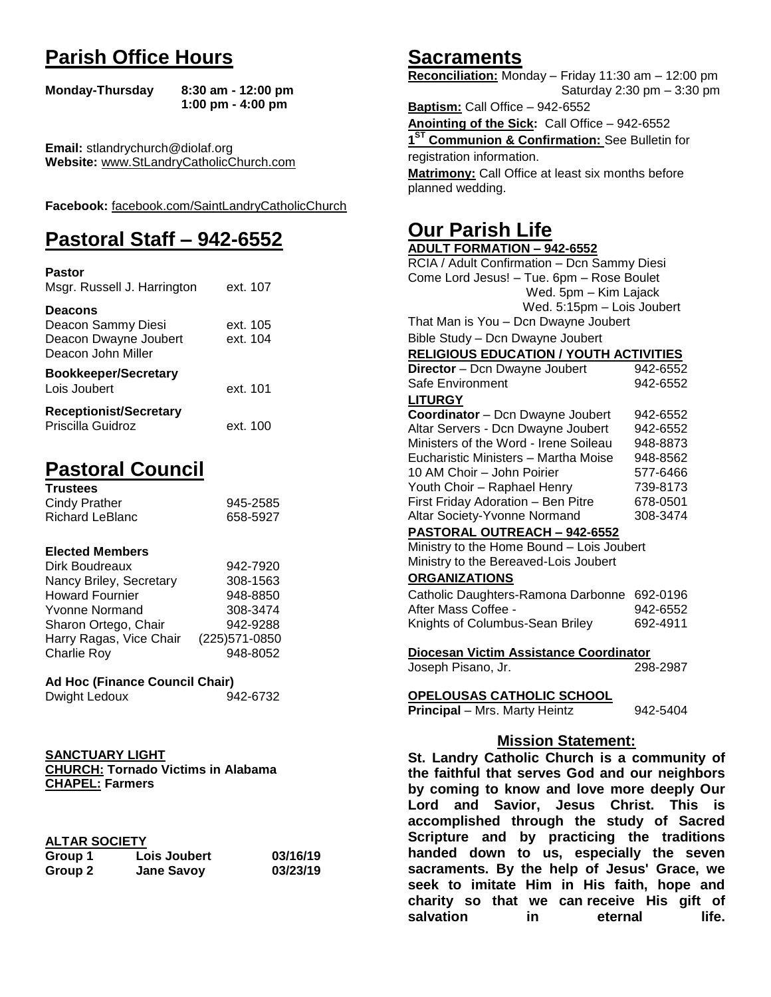# **Parish Office Hours**

```
Monday-Thursday 8:30 am - 12:00 pm
       1:00 pm - 4:00 pm
```
**Email:** stlandrychurch@diolaf.org **Website:** [www.StLandryCatholicChurch.com](http://www.stlandrycatholicchurch.com/)

**Facebook:** [facebook.com/SaintLandryCatholicChurch](http://facebook.com/SaintLandryCatholicChurch)

# **Pastoral Staff – 942-6552**

| <b>Pastor</b><br>Msgr. Russell J. Harrington                                        | ext. 107             |
|-------------------------------------------------------------------------------------|----------------------|
| <b>Deacons</b><br>Deacon Sammy Diesi<br>Deacon Dwayne Joubert<br>Deacon John Miller | ext. 105<br>ext. 104 |
| <b>Bookkeeper/Secretary</b><br>Lois Joubert                                         | ext. 101             |
| <b>Receptionist/Secretary</b><br>Priscilla Guidroz                                  | ext. 100             |

# **Pastoral Council**

| <b>Trustees</b> |          |
|-----------------|----------|
| Cindy Prather   | 945-2585 |
| Richard LeBlanc | 658-5927 |

### **Elected Members**

| Dirk Boudreaux          | 942-7920       |
|-------------------------|----------------|
| Nancy Briley, Secretary | 308-1563       |
| <b>Howard Fournier</b>  | 948-8850       |
| <b>Yvonne Normand</b>   | 308-3474       |
| Sharon Ortego, Chair    | 942-9288       |
| Harry Ragas, Vice Chair | (225) 571-0850 |
| <b>Charlie Roy</b>      | 948-8052       |

### **Ad Hoc (Finance Council Chair)**

| 942-6732<br>Dwight Ledoux |
|---------------------------|
|---------------------------|

#### **SANCTUARY LIGHT CHURCH: Tornado Victims in Alabama CHAPEL: Farmers**

## **ALTAR SOCIETY**

| .<br>Group 1 | <b>Lois Joubert</b> | 03/16/19 |
|--------------|---------------------|----------|
| Group 2      | <b>Jane Savoy</b>   | 03/23/19 |

## **Sacraments**

**Reconciliation:** Monday – Friday 11:30 am – 12:00 pm Saturday 2:30 pm – 3:30 pm

**Baptism:** Call Office – 942-6552 **Anointing of the Sick:** Call Office – 942-6552 **1 ST Communion & Confirmation:** See Bulletin for registration information. **Matrimony:** Call Office at least six months before planned wedding.

## **Our Parish Life**

| <b>ADULT FORMATION - 942-6552</b>              |          |
|------------------------------------------------|----------|
| RCIA / Adult Confirmation - Dcn Sammy Diesi    |          |
| Come Lord Jesus! - Tue. 6pm - Rose Boulet      |          |
| Wed. 5pm - Kim Lajack                          |          |
| Wed. 5:15pm - Lois Joubert                     |          |
| That Man is You - Dcn Dwayne Joubert           |          |
| Bible Study - Dcn Dwayne Joubert               |          |
| <b>RELIGIOUS EDUCATION / YOUTH ACTIVITIES</b>  |          |
| Director - Dcn Dwayne Joubert                  | 942-6552 |
| Safe Environment                               | 942-6552 |
| <b>LITURGY</b>                                 |          |
| Coordinator - Dcn Dwayne Joubert               | 942-6552 |
| Altar Servers - Dcn Dwayne Joubert             | 942-6552 |
| Ministers of the Word - Irene Soileau          | 948-8873 |
| Eucharistic Ministers - Martha Moise           | 948-8562 |
| 10 AM Choir - John Poirier                     | 577-6466 |
| Youth Choir - Raphael Henry                    | 739-8173 |
| First Friday Adoration - Ben Pitre             | 678-0501 |
| Altar Society-Yvonne Normand                   | 308-3474 |
| PASTORAL OUTREACH - 942-6552                   |          |
| Ministry to the Home Bound - Lois Joubert      |          |
| Ministry to the Bereaved-Lois Joubert          |          |
| <b>ORGANIZATIONS</b>                           |          |
| Catholic Daughters-Ramona Darbonne             | 692-0196 |
| After Mass Coffee -                            | 942-6552 |
| Knights of Columbus-Sean Briley                | 692-4911 |
|                                                |          |
| Diocesan Victim Assistance Coordinator         |          |
| Joseph Pisano, Jr.                             | 298-2987 |
| OPELOUSAS CATHOLIC SCHOOL                      |          |
| <b>Principal</b> - Mrs. Marty Heintz           | 942-5404 |
|                                                |          |
| <b>Mission Statement:</b>                      |          |
| St. Landry Catholic Church is a community of   |          |
| the faithful that serves God and our neighbors |          |
| by coming to know and love more deeply Our     |          |
| and Savior, Jesus Christ. This is<br>Lord      |          |
|                                                |          |
| accomplished through the study of Sacred       |          |

**Scripture and by practicing the traditions handed down to us, especially the seven sacraments. By the help of Jesus' Grace, we seek to imitate Him in His faith, hope and charity so that we can receive His gift of salvation in** eternal life.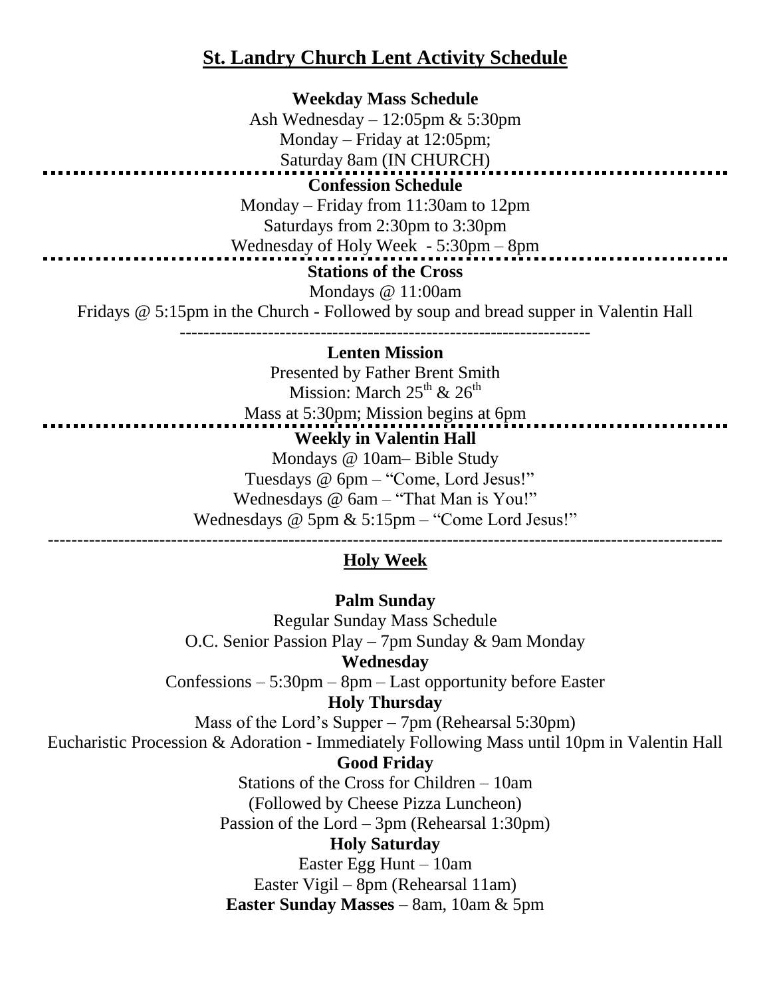## **St. Landry Church Lent Activity Schedule**

**Weekday Mass Schedule** Ash Wednesday – 12:05pm & 5:30pm Monday – Friday at 12:05pm; Saturday 8am (IN CHURCH) **Confession Schedule** Monday – Friday from 11:30am to 12pm Saturdays from 2:30pm to 3:30pm Wednesday of Holy Week - 5:30pm – 8pm **Stations of the Cross** Mondays @ 11:00am Fridays @ 5:15pm in the Church - Followed by soup and bread supper in Valentin Hall ---------------------------------------------------------------------- **Lenten Mission**

> Presented by Father Brent Smith Mission: March  $25^{th}$  &  $26^{th}$

Mass at 5:30pm; Mission begins at 6pm **Weekly in Valentin Hall** Mondays @ 10am– Bible Study Tuesdays @ 6pm – "Come, Lord Jesus!" Wednesdays @ 6am – "That Man is You!" Wednesdays @ 5pm & 5:15pm – "Come Lord Jesus!"

## ------------------------------------------------------------------------------------------------------------------- **Holy Week**

**Palm Sunday** Regular Sunday Mass Schedule O.C. Senior Passion Play – 7pm Sunday & 9am Monday **Wednesday** Confessions – 5:30pm – 8pm – Last opportunity before Easter **Holy Thursday** Mass of the Lord's Supper – 7pm (Rehearsal 5:30pm) Eucharistic Procession & Adoration - Immediately Following Mass until 10pm in Valentin Hall **Good Friday** Stations of the Cross for Children – 10am (Followed by Cheese Pizza Luncheon) Passion of the Lord – 3pm (Rehearsal 1:30pm) **Holy Saturday** Easter Egg Hunt – 10am Easter Vigil – 8pm (Rehearsal 11am) **Easter Sunday Masses** – 8am, 10am & 5pm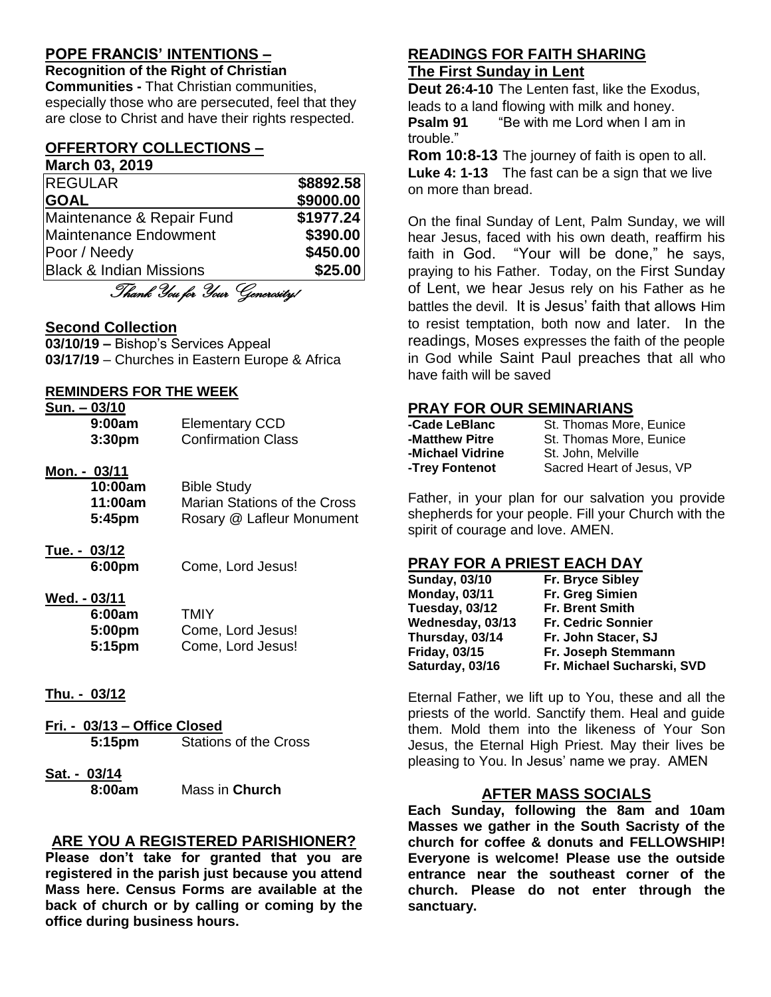## **POPE FRANCIS' INTENTIONS –**

**Recognition of the Right of Christian Communities -** That Christian communities, especially those who are persecuted, feel that they are close to Christ and have their rights respected.

#### **OFFERTORY COLLECTIONS – March 03, 2019**

**REGULAR** \$8892.58 **GOAL \$9000.00** Maintenance & Repair Fund **\$1977.24** Maintenance Endowment **\$390.00 Poor / Needy 6450.00** Black & Indian Missions **\$25.00**

Thank You for Your Generosity!

## **Second Collection**

**03/10/19 –** Bishop's Services Appeal **03/17/19** – Churches in Eastern Europe & Africa

## **REMINDERS FOR THE WEEK**

| Sun. - 03/10       |                           |
|--------------------|---------------------------|
| 9:00am             | <b>Elementary CCD</b>     |
| 3:30 <sub>pm</sub> | <b>Confirmation Class</b> |

## **Mon. - 03/11**

| 10:00am | <b>Bible Study</b>           |
|---------|------------------------------|
| 11:00am | Marian Stations of the Cross |
| 5:45pm  | Rosary @ Lafleur Monument    |

**Tue. - 03/12**

**6:00pm** Come, Lord Jesus!

## **Wed. - 03/11**

| 6:00am | TMIY              |
|--------|-------------------|
| 5:00pm | Come, Lord Jesus! |
| 5:15pm | Come, Lord Jesus! |

## **Thu. - 03/12**

- **Fri. - 03/13 – Office Closed 5:15pm** Stations of the Cross
- **Sat. - 03/14**

**8:00am** Mass in **Church**

## **ARE YOU A REGISTERED PARISHIONER?**

**Please don't take for granted that you are registered in the parish just because you attend Mass here. Census Forms are available at the back of church or by calling or coming by the office during business hours.**

## **READINGS FOR FAITH SHARING The First Sunday in Lent**

**Deut 26:4-10** The Lenten fast, like the Exodus, leads to a land flowing with milk and honey. **Psalm 91** "Be with me Lord when I am in trouble."

**Rom 10:8-13** The journey of faith is open to all. **Luke 4: 1-13** The fast can be a sign that we live on more than bread.

On the final Sunday of Lent, Palm Sunday, we will hear Jesus, faced with his own death, reaffirm his faith in God. "Your will be done," he says, praying to his Father. Today, on the First Sunday of Lent, we hear Jesus rely on his Father as he battles the devil. It is Jesus' faith that allows Him to resist temptation, both now and later. In the readings, Moses expresses the faith of the people in God while Saint Paul preaches that all who have faith will be saved

## **PRAY FOR OUR SEMINARIANS**

| -Cade LeBlanc    | St. Thomas More, Eunice   |
|------------------|---------------------------|
| -Matthew Pitre   | St. Thomas More, Eunice   |
| -Michael Vidrine | St. John, Melville        |
| -Trey Fontenot   | Sacred Heart of Jesus, VP |

Father, in your plan for our salvation you provide shepherds for your people. Fill your Church with the spirit of courage and love. AMEN.

## **PRAY FOR A PRIEST EACH DAY**

| Fr. Bryce Sibley           |
|----------------------------|
| Fr. Greg Simien            |
| <b>Fr. Brent Smith</b>     |
| <b>Fr. Cedric Sonnier</b>  |
| Fr. John Stacer, SJ        |
| Fr. Joseph Stemmann        |
| Fr. Michael Sucharski, SVD |
|                            |

Eternal Father, we lift up to You, these and all the priests of the world. Sanctify them. Heal and guide them. Mold them into the likeness of Your Son Jesus, the Eternal High Priest. May their lives be pleasing to You. In Jesus' name we pray. AMEN

## **AFTER MASS SOCIALS**

**Each Sunday, following the 8am and 10am Masses we gather in the South Sacristy of the church for coffee & donuts and FELLOWSHIP! Everyone is welcome! Please use the outside entrance near the southeast corner of the church. Please do not enter through the sanctuary.**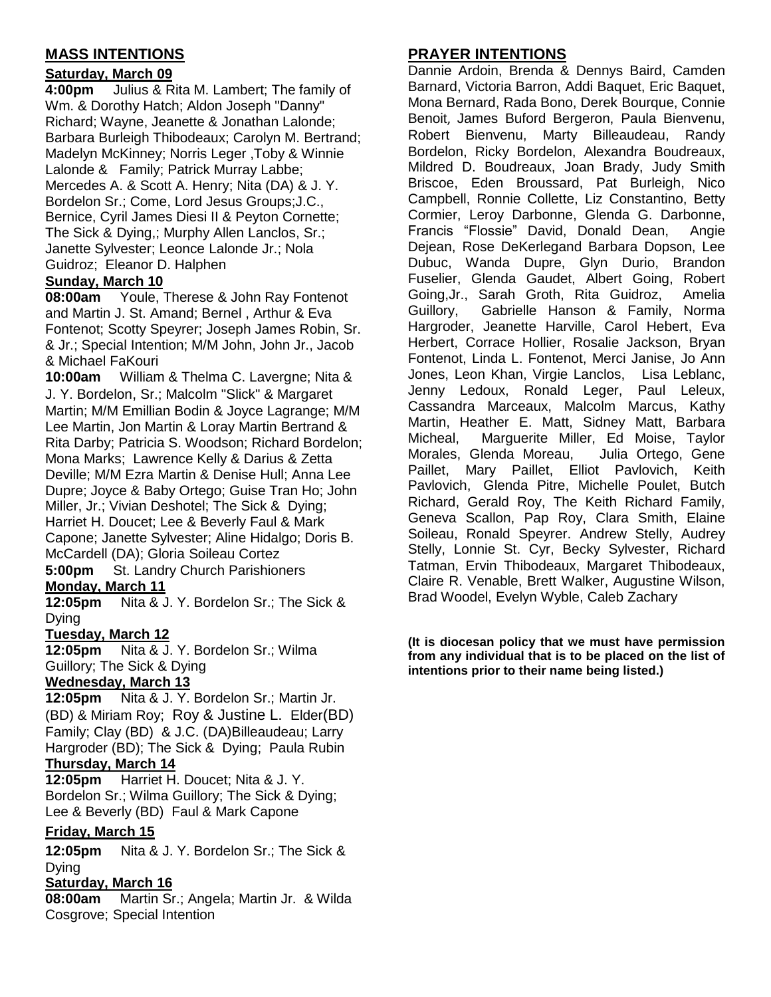## **MASS INTENTIONS**

## **Saturday, March 09**

**4:00pm** Julius & Rita M. Lambert; The family of Wm. & Dorothy Hatch; Aldon Joseph "Danny" Richard; Wayne, Jeanette & Jonathan Lalonde; Barbara Burleigh Thibodeaux; Carolyn M. Bertrand; Madelyn McKinney; Norris Leger ,Toby & Winnie Lalonde & Family; Patrick Murray Labbe; Mercedes A. & Scott A. Henry; Nita (DA) & J. Y. Bordelon Sr.; Come, Lord Jesus Groups;J.C., Bernice, Cyril James Diesi II & Peyton Cornette; The Sick & Dying,; Murphy Allen Lanclos, Sr.; Janette Sylvester; Leonce Lalonde Jr.; Nola Guidroz; Eleanor D. Halphen

## **Sunday, March 10**

**08:00am** Youle, Therese & John Ray Fontenot and Martin J. St. Amand; Bernel , Arthur & Eva Fontenot; Scotty Speyrer; Joseph James Robin, Sr. & Jr.; Special Intention; M/M John, John Jr., Jacob & Michael FaKouri

**10:00am** William & Thelma C. Lavergne; Nita & J. Y. Bordelon, Sr.; Malcolm "Slick" & Margaret Martin; M/M Emillian Bodin & Joyce Lagrange; M/M Lee Martin, Jon Martin & Loray Martin Bertrand & Rita Darby; Patricia S. Woodson; Richard Bordelon; Mona Marks; Lawrence Kelly & Darius & Zetta Deville; M/M Ezra Martin & Denise Hull; Anna Lee Dupre; Joyce & Baby Ortego; Guise Tran Ho; John Miller, Jr.; Vivian Deshotel; The Sick & Dying; Harriet H. Doucet; Lee & Beverly Faul & Mark Capone; Janette Sylvester; Aline Hidalgo; Doris B. McCardell (DA); Gloria Soileau Cortez

**5:00pm** St. Landry Church Parishioners **Monday, March 11**

**12:05pm** Nita & J. Y. Bordelon Sr.; The Sick & Dying

**Tuesday, March 12**

**12:05pm** Nita & J. Y. Bordelon Sr.; Wilma Guillory; The Sick & Dying

### **Wednesday, March 13**

**12:05pm** Nita & J. Y. Bordelon Sr.; Martin Jr. (BD) & Miriam Roy; Roy & Justine L. Elder(BD) Family; Clay (BD) & J.C. (DA)Billeaudeau; Larry Hargroder (BD); The Sick & Dying; Paula Rubin **Thursday, March 14**

**12:05pm** Harriet H. Doucet; Nita & J. Y. Bordelon Sr.; Wilma Guillory; The Sick & Dying; Lee & Beverly (BD) Faul & Mark Capone

## **Friday, March 15**

**12:05pm** Nita & J. Y. Bordelon Sr.; The Sick & Dying

### **Saturday, March 16**

**08:00am** Martin Sr.; Angela; Martin Jr. & Wilda Cosgrove; Special Intention

## **PRAYER INTENTIONS**

Dannie Ardoin, Brenda & Dennys Baird, Camden Barnard, Victoria Barron, Addi Baquet, Eric Baquet, Mona Bernard, Rada Bono, Derek Bourque, Connie Benoit, James Buford Bergeron, Paula Bienvenu, Robert Bienvenu, Marty Billeaudeau, Randy Bordelon, Ricky Bordelon, Alexandra Boudreaux, Mildred D. Boudreaux, Joan Brady, Judy Smith Briscoe, Eden Broussard, Pat Burleigh, Nico Campbell, Ronnie Collette, Liz Constantino, Betty Cormier, Leroy Darbonne, Glenda G. Darbonne, Francis "Flossie" David, Donald Dean, Angie Dejean, Rose DeKerlegand Barbara Dopson, Lee Dubuc, Wanda Dupre, Glyn Durio, Brandon Fuselier, Glenda Gaudet, Albert Going, Robert Going,Jr., Sarah Groth, Rita Guidroz, Amelia Guillory, Gabrielle Hanson & Family, Norma Hargroder, Jeanette Harville, Carol Hebert, Eva Herbert, Corrace Hollier, Rosalie Jackson, Bryan Fontenot, Linda L. Fontenot, Merci Janise, Jo Ann Jones, Leon Khan, Virgie Lanclos, Lisa Leblanc, Jenny Ledoux, Ronald Leger, Paul Leleux, Cassandra Marceaux, Malcolm Marcus, Kathy Martin, Heather E. Matt, Sidney Matt, Barbara Micheal, Marguerite Miller, Ed Moise, Taylor Morales, Glenda Moreau, Julia Ortego, Gene Paillet, Mary Paillet, Elliot Pavlovich, Keith Pavlovich, Glenda Pitre, Michelle Poulet, Butch Richard, Gerald Roy, The Keith Richard Family, Geneva Scallon, Pap Roy, Clara Smith, Elaine Soileau, Ronald Speyrer. Andrew Stelly, Audrey Stelly, Lonnie St. Cyr, Becky Sylvester, Richard Tatman, Ervin Thibodeaux, Margaret Thibodeaux, Claire R. Venable, Brett Walker, Augustine Wilson, Brad Woodel, Evelyn Wyble, Caleb Zachary

**(It is diocesan policy that we must have permission from any individual that is to be placed on the list of intentions prior to their name being listed.)**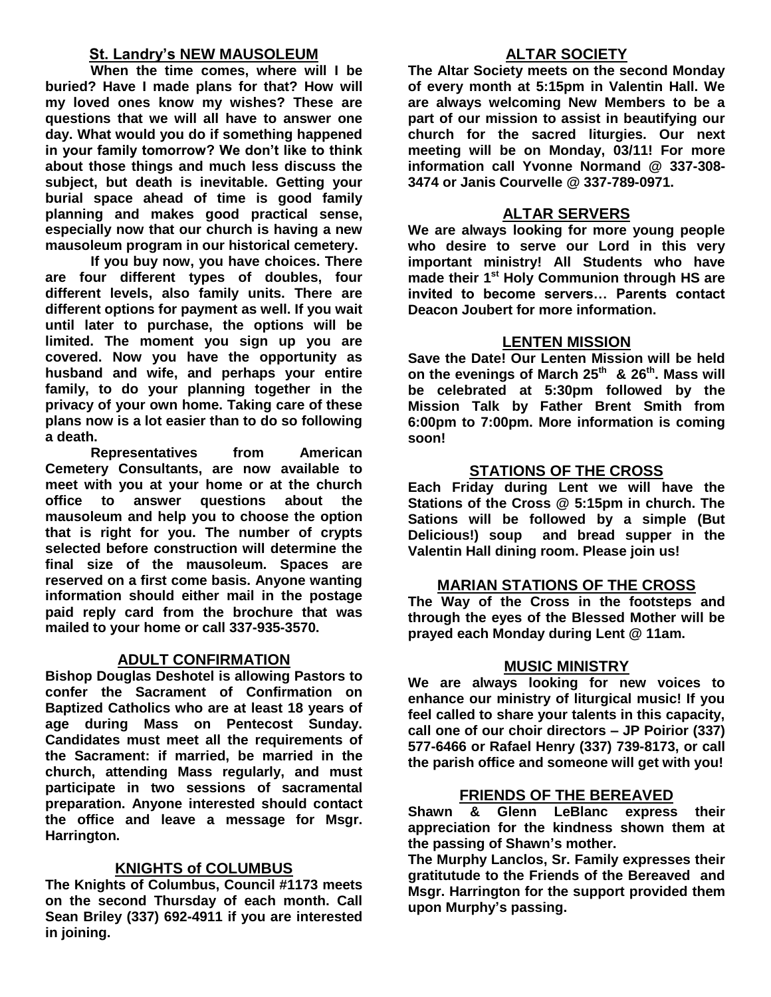## **St. Landry's NEW MAUSOLEUM**

**When the time comes, where will I be buried? Have I made plans for that? How will my loved ones know my wishes? These are questions that we will all have to answer one day. What would you do if something happened in your family tomorrow? We don't like to think about those things and much less discuss the subject, but death is inevitable. Getting your burial space ahead of time is good family planning and makes good practical sense, especially now that our church is having a new mausoleum program in our historical cemetery.**

**If you buy now, you have choices. There are four different types of doubles, four different levels, also family units. There are different options for payment as well. If you wait until later to purchase, the options will be limited. The moment you sign up you are covered. Now you have the opportunity as husband and wife, and perhaps your entire family, to do your planning together in the privacy of your own home. Taking care of these plans now is a lot easier than to do so following a death.**

**Representatives from American Cemetery Consultants, are now available to meet with you at your home or at the church office to answer questions about the mausoleum and help you to choose the option that is right for you. The number of crypts selected before construction will determine the final size of the mausoleum. Spaces are reserved on a first come basis. Anyone wanting information should either mail in the postage paid reply card from the brochure that was mailed to your home or call 337-935-3570.**

## **ADULT CONFIRMATION**

**Bishop Douglas Deshotel is allowing Pastors to confer the Sacrament of Confirmation on Baptized Catholics who are at least 18 years of age during Mass on Pentecost Sunday. Candidates must meet all the requirements of the Sacrament: if married, be married in the church, attending Mass regularly, and must participate in two sessions of sacramental preparation. Anyone interested should contact the office and leave a message for Msgr. Harrington.** 

## **KNIGHTS of COLUMBUS**

**The Knights of Columbus, Council #1173 meets on the second Thursday of each month. Call Sean Briley (337) 692-4911 if you are interested in joining.** 

## **ALTAR SOCIETY**

**The Altar Society meets on the second Monday of every month at 5:15pm in Valentin Hall. We are always welcoming New Members to be a part of our mission to assist in beautifying our church for the sacred liturgies. Our next meeting will be on Monday, 03/11! For more information call Yvonne Normand @ 337-308- 3474 or Janis Courvelle @ 337-789-0971.** 

## **ALTAR SERVERS**

**We are always looking for more young people who desire to serve our Lord in this very important ministry! All Students who have made their 1st Holy Communion through HS are invited to become servers… Parents contact Deacon Joubert for more information.**

### **LENTEN MISSION**

**Save the Date! Our Lenten Mission will be held on the evenings of March 25th & 26th. Mass will be celebrated at 5:30pm followed by the Mission Talk by Father Brent Smith from 6:00pm to 7:00pm. More information is coming soon!**

## **STATIONS OF THE CROSS**

**Each Friday during Lent we will have the Stations of the Cross @ 5:15pm in church. The Sations will be followed by a simple (But Delicious!) soup and bread supper in the Valentin Hall dining room. Please join us!**

### **MARIAN STATIONS OF THE CROSS**

**The Way of the Cross in the footsteps and through the eyes of the Blessed Mother will be prayed each Monday during Lent @ 11am.** 

### **MUSIC MINISTRY**

**We are always looking for new voices to enhance our ministry of liturgical music! If you feel called to share your talents in this capacity, call one of our choir directors – JP Poirior (337) 577-6466 or Rafael Henry (337) 739-8173, or call the parish office and someone will get with you!**

### **FRIENDS OF THE BEREAVED**

**Shawn & Glenn LeBlanc express their appreciation for the kindness shown them at the passing of Shawn's mother.**

**The Murphy Lanclos, Sr. Family expresses their gratitutude to the Friends of the Bereaved and Msgr. Harrington for the support provided them upon Murphy's passing.**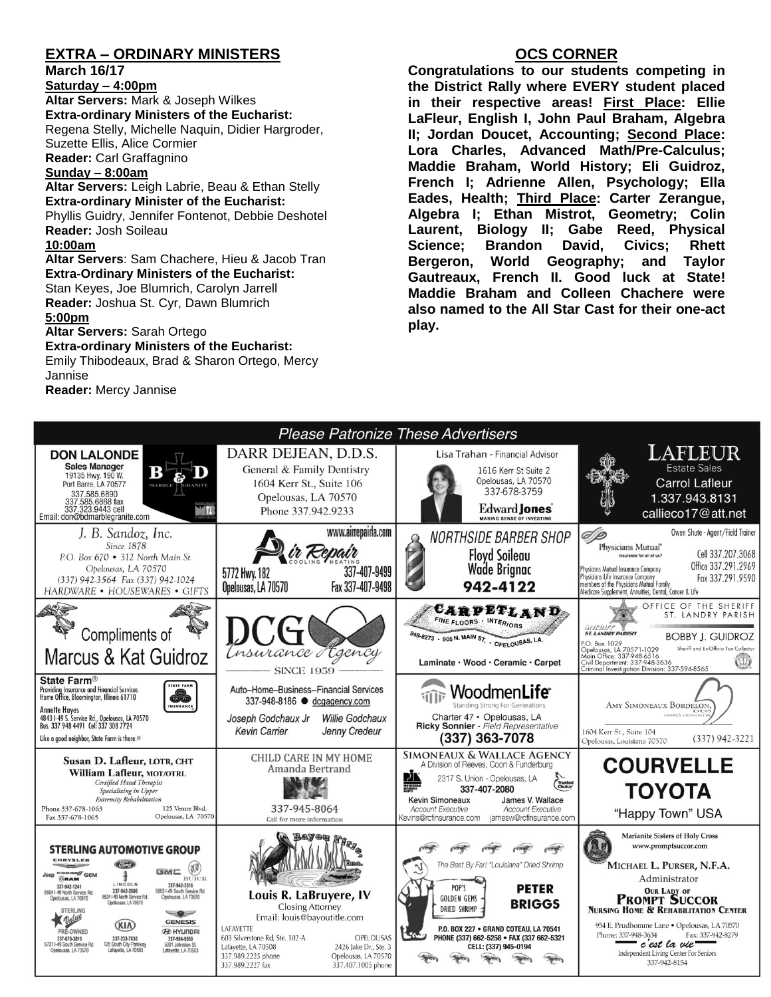## **EXTRA – ORDINARY MINISTERS**

**March 16/17**

**Saturday – 4:00pm Altar Servers:** Mark & Joseph Wilkes **Extra-ordinary Ministers of the Eucharist:**  Regena Stelly, Michelle Naquin, Didier Hargroder, Suzette Ellis, Alice Cormier **Reader:** Carl Graffagnino

**Sunday – 8:00am**

**Altar Servers:** Leigh Labrie, Beau & Ethan Stelly **Extra-ordinary Minister of the Eucharist:** Phyllis Guidry, Jennifer Fontenot, Debbie Deshotel **Reader:** Josh Soileau **10:00am**

**Altar Servers**: Sam Chachere, Hieu & Jacob Tran **Extra-Ordinary Ministers of the Eucharist:** Stan Keyes, Joe Blumrich, Carolyn Jarrell **Reader:** Joshua St. Cyr, Dawn Blumrich

#### **5:00pm**

**Altar Servers:** Sarah Ortego **Extra-ordinary Ministers of the Eucharist:**

Emily Thibodeaux, Brad & Sharon Ortego, Mercy Jannise

**Reader:** Mercy Jannise

### **OCS CORNER**

**Congratulations to our students competing in the District Rally where EVERY student placed in their respective areas! First Place: Ellie LaFleur, English I, John Paul Braham, Algebra II; Jordan Doucet, Accounting; Second Place: Lora Charles, Advanced Math/Pre-Calculus; Maddie Braham, World History; Eli Guidroz, French I; Adrienne Allen, Psychology; Ella Eades, Health; Third Place: Carter Zerangue, Algebra I; Ethan Mistrot, Geometry; Colin Laurent, Biology II; Gabe Reed, Physical Science; Brandon David, Civics; Rhett Bergeron, World Geography; and Taylor Gautreaux, French II. Good luck at State! Maddie Braham and Colleen Chachere were also named to the All Star Cast for their one-act play.**